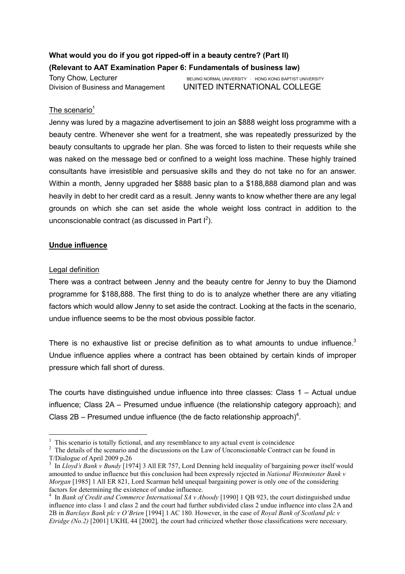# What would you do if you got ripped-off in a beauty centre? (Part II) (Relevant to AAT Examination Paper 6: Fundamentals of business law)

Tony Chow, Lecturer **BEIJING NORMAL UNIVERSITY** HONG KONG BAPTIST UNIVERSITY Division of Business and Management UNITED INTERNATIONAL COLLEGE

## The scenario<sup>1</sup>

Jenny was lured by a magazine advertisement to join an \$888 weight loss programme with a beauty centre. Whenever she went for a treatment, she was repeatedly pressurized by the beauty consultants to upgrade her plan. She was forced to listen to their requests while she was naked on the message bed or confined to a weight loss machine. These highly trained consultants have irresistible and persuasive skills and they do not take no for an answer. Within a month, Jenny upgraded her \$888 basic plan to a \$188,888 diamond plan and was heavily in debt to her credit card as a result. Jenny wants to know whether there are any legal grounds on which she can set aside the whole weight loss contract in addition to the unconscionable contract (as discussed in Part  $I^2$ ).

## Undue influence

#### Legal definition

 $\overline{a}$ 

There was a contract between Jenny and the beauty centre for Jenny to buy the Diamond programme for \$188,888. The first thing to do is to analyze whether there are any vitiating factors which would allow Jenny to set aside the contract. Looking at the facts in the scenario, undue influence seems to be the most obvious possible factor.

There is no exhaustive list or precise definition as to what amounts to undue influence.<sup>3</sup> Undue influence applies where a contract has been obtained by certain kinds of improper pressure which fall short of duress.

The courts have distinguished undue influence into three classes: Class  $1 -$  Actual undue influence; Class 2A – Presumed undue influence (the relationship category approach); and Class 2B – Presumed undue influence (the de facto relationship approach)<sup>4</sup>.

<sup>&</sup>lt;sup>1</sup> This scenario is totally fictional, and any resemblance to any actual event is coincidence

 $2<sup>2</sup>$  The details of the scenario and the discussions on the Law of Unconscionable Contract can be found in T/Dialogue of April 2009 p.26

<sup>&</sup>lt;sup>3</sup> In Lloyd's Bank v Bundy [1974] 3 All ER 757, Lord Denning held inequality of bargaining power itself would amounted to undue influence but this conclusion had been expressly rejected in National Westminster Bank v Morgan [1985] 1 All ER 821, Lord Scarman held unequal bargaining power is only one of the considering factors for determining the existence of undue influence.

 $4$  In Bank of Credit and Commerce International SA v Aboody [1990] 1 QB 923, the court distinguished undue influence into class 1 and class 2 and the court had further subdivided class 2 undue influence into class 2A and 2B in Barclays Bank plc v O'Brien [1994] 1 AC 180. However, in the case of Royal Bank of Scotland plc v Etridge (No.2) [2001] UKHL 44 [2002], the court had criticized whether those classifications were necessary.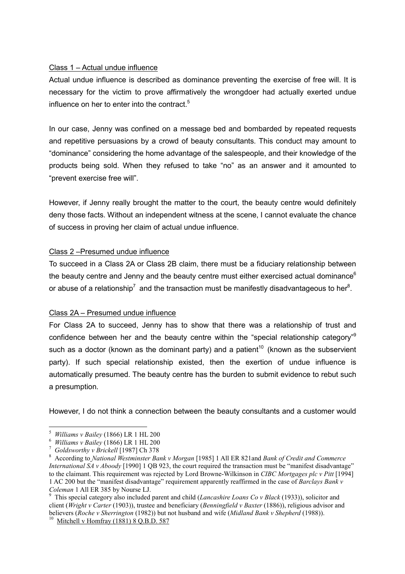## Class 1 – Actual undue influence

Actual undue influence is described as dominance preventing the exercise of free will. It is necessary for the victim to prove affirmatively the wrongdoer had actually exerted undue influence on her to enter into the contract. $5$ 

In our case, Jenny was confined on a message bed and bombarded by repeated requests and repetitive persuasions by a crowd of beauty consultants. This conduct may amount to "dominance" considering the home advantage of the salespeople, and their knowledge of the products being sold. When they refused to take "no" as an answer and it amounted to "prevent exercise free will".

However, if Jenny really brought the matter to the court, the beauty centre would definitely deny those facts. Without an independent witness at the scene, I cannot evaluate the chance of success in proving her claim of actual undue influence.

## Class 2 –Presumed undue influence

To succeed in a Class 2A or Class 2B claim, there must be a fiduciary relationship between the beauty centre and Jenny and the beauty centre must either exercised actual dominance $<sup>6</sup>$ </sup> or abuse of a relationship<sup>7</sup> and the transaction must be manifestly disadvantageous to her<sup>8</sup>.

# Class 2A – Presumed undue influence

For Class 2A to succeed, Jenny has to show that there was a relationship of trust and confidence between her and the beauty centre within the "special relationship category"<sup>9</sup> such as a doctor (known as the dominant party) and a patient<sup>10</sup> (known as the subservient party). If such special relationship existed, then the exertion of undue influence is automatically presumed. The beauty centre has the burden to submit evidence to rebut such a presumption.

However, I do not think a connection between the beauty consultants and a customer would

 $\overline{a}$ 

<sup>5</sup> Williams v Bailey (1866) LR 1 HL 200

<sup>6</sup> Williams v Bailey (1866) LR 1 HL 200

<sup>7</sup> Goldsworthy v Brickell [1987] Ch 378

 $8$  According to National Westminster Bank v Morgan [1985] 1 All ER 821 and Bank of Credit and Commerce International SA v Aboody [1990] 1 QB 923, the court required the transaction must be "manifest disadvantage" to the claimant. This requirement was rejected by Lord Browne-Wilkinson in CIBC Mortgages plc v Pitt [1994] 1 AC 200 but the "manifest disadvantage" requirement apparently reaffirmed in the case of Barclays Bank v Coleman 1 All ER 385 by Nourse LJ.

<sup>9</sup> This special category also included parent and child (Lancashire Loans Co v Black (1933)), solicitor and client (Wright v Carter (1903)), trustee and beneficiary (Benningfield v Baxter (1886)), religious advisor and believers (Roche v Sherrington (1982)) but not husband and wife (Midland Bank v Shepherd (1988)).

<sup>&</sup>lt;sup>10</sup> Mitchell v Homfray (1881) 8 Q.B.D. 587